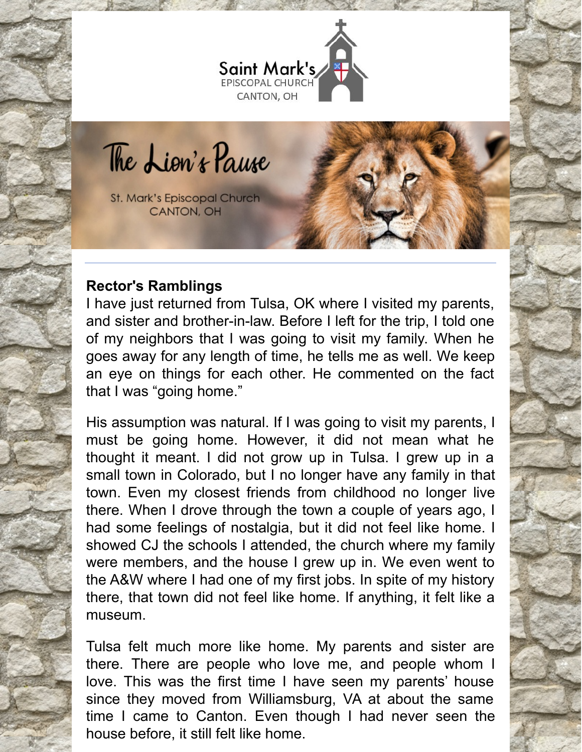

The Lion's Pause

**St. Mark's Episcopal Church** CANTON, OH

### **Rector's Ramblings**

I have just returned from Tulsa, OK where I visited my parents, and sister and brother-in-law. Before I left for the trip, I told one of my neighbors that I was going to visit my family. When he goes away for any length of time, he tells me as well. We keep an eye on things for each other. He commented on the fact that I was "going home."

His assumption was natural. If I was going to visit my parents, I must be going home. However, it did not mean what he thought it meant. I did not grow up in Tulsa. I grew up in a small town in Colorado, but I no longer have any family in that town. Even my closest friends from childhood no longer live there. When I drove through the town a couple of years ago, I had some feelings of nostalgia, but it did not feel like home. I showed CJ the schools I attended, the church where my family were members, and the house I grew up in. We even went to the A&W where I had one of my first jobs. In spite of my history there, that town did not feel like home. If anything, it felt like a museum.

Tulsa felt much more like home. My parents and sister are there. There are people who love me, and people whom I love. This was the first time I have seen my parents' house since they moved from Williamsburg, VA at about the same time I came to Canton. Even though I had never seen the house before, it still felt like home.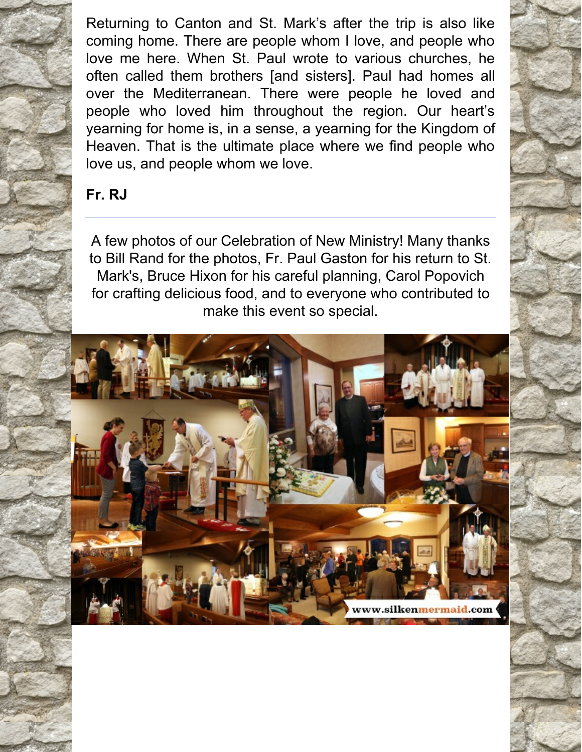Returning to Canton and St. Mark's after the trip is also like coming home. There are people whom I love, and people who love me here. When St. Paul wrote to various churches, he often called them brothers [and sisters]. Paul had homes all over the Mediterranean. There were people he loved and people who loved him throughout the region. Our heart's yearning for home is, in a sense, a yearning for the Kingdom of Heaven. That is the ultimate place where we find people who love us, and people whom we love.

### **Fr. RJ**

A few photos of our Celebration of New Ministry! Many thanks to Bill Rand for the photos, Fr. Paul Gaston for his return to St. Mark's, Bruce Hixon for his careful planning, Carol Popovich for crafting delicious food, and to everyone who contributed to make this event so special.

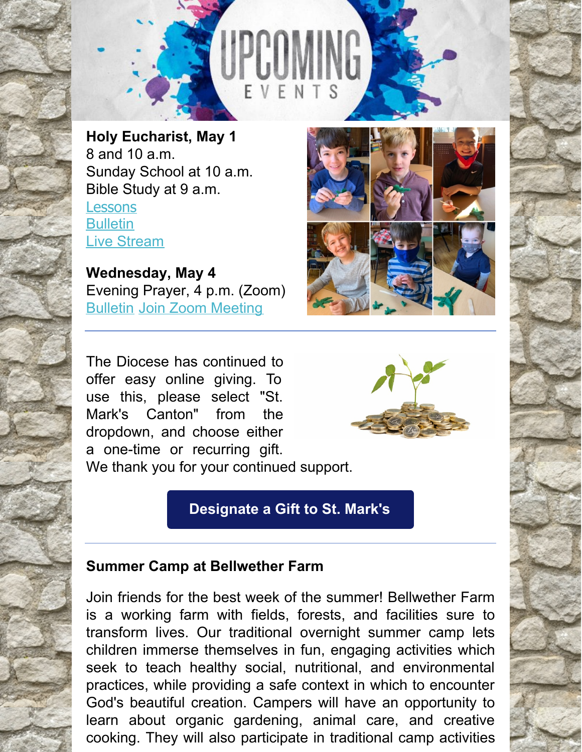

**Holy Eucharist, May 1** 8 and 10 a.m. Sunday School at 10 a.m. Bible Study at 9 a.m. **[Lessons](http://lectionarypage.net/YearC_RCL/Easter/CEaster3_RCL.html) [Bulletin](https://files.constantcontact.com/32ed7374201/603ed539-5e18-4092-b67f-18c72c3d136f.pdf)** Live [Stream](https://www.facebook.com/stmarks.canton)

**Wednesday, May 4** Evening Prayer, 4 p.m. (Zoom) [Bulletin](https://files.constantcontact.com/32ed7374201/0f22d110-dcb7-4373-983c-8230cf7086c4.pdf) Join Zoom [Meeting](https://us06web.zoom.us/j/87861372190?pwd=Y3l6UmtqZGhTQndpS3REd2tmSjJaUT09)

The Diocese has continued to offer easy online giving. To use this, please select "St. Mark's Canton" from the dropdown, and choose either a one-time or recurring gift. We thank you for your continued support.

# **[Designate](https://dohio.org/designate-a-gift-to-your-parish) a Gift to St. Mark's**

## **Summer Camp at Bellwether Farm**

Join friends for the best week of the summer! Bellwether Farm is a working farm with fields, forests, and facilities sure to transform lives. Our traditional overnight summer camp lets children immerse themselves in fun, engaging activities which seek to teach healthy social, nutritional, and environmental practices, while providing a safe context in which to encounter God's beautiful creation. Campers will have an opportunity to learn about organic gardening, animal care, and creative cooking. They will also participate in traditional camp activities



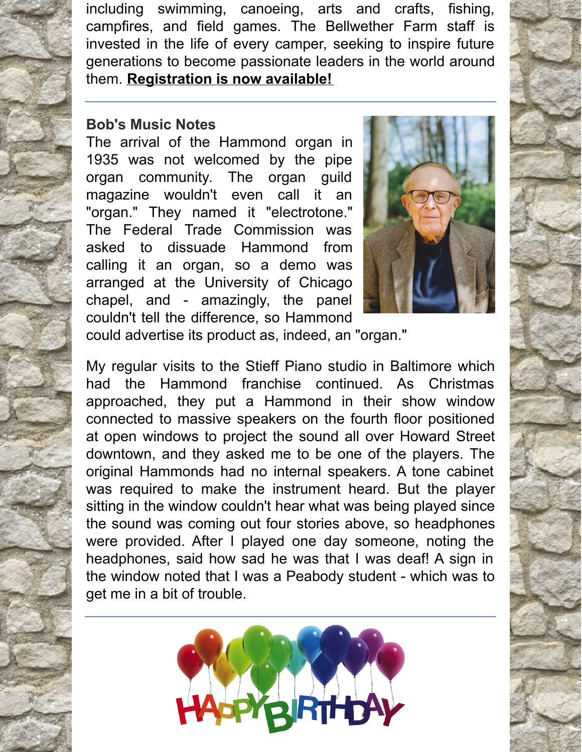including swimming, canoeing, arts and crafts, fishing, campfires, and field games. The Bellwether Farm staff is invested in the life of every camper, seeking to inspire future generations to become passionate leaders in the world around them. **[Registration](https://r20.rs6.net/tn.jsp?f=001-7KP7aBzHNi9c62KhjfbuCGvG1YLewsugcO2eOcepRbPgoRdMnEH6xxZcEKyuJTbA_jMNjcvfFzUEYNMRyPkCa9rNDMSHDy7OARpPdIOdXpYnlzNErR8AUzUANxtW7v9k6WUaYhLVvCwvsAVEdegB7JeW-YFsiam&c=BaLOmw9xdPu_gGIzp_g6tjdnUIyRshpKglg7_La-5tKMz5u2fBMkKQ==&ch=DZ45ppTAjR8sLRVwGnizA0rKQ7AZfDNWZB7xm8owGJcQNwnqgwT8ew==) is now available!**

#### **Bob's Music Notes**

The arrival of the Hammond organ in 1935 was not welcomed by the pipe organ community. The organ guild magazine wouldn't even call it an "organ." They named it "electrotone." The Federal Trade Commission was asked to dissuade Hammond from calling it an organ, so a demo was arranged at the University of Chicago chapel, and - amazingly, the panel couldn't tell the difference, so Hammond



could advertise its product as, indeed, an "organ."

My regular visits to the Stieff Piano studio in Baltimore which had the Hammond franchise continued. As Christmas approached, they put a Hammond in their show window connected to massive speakers on the fourth floor positioned at open windows to project the sound all over Howard Street downtown, and they asked me to be one of the players. The original Hammonds had no internal speakers. A tone cabinet was required to make the instrument heard. But the player sitting in the window couldn't hear what was being played since the sound was coming out four stories above, so headphones were provided. After I played one day someone, noting the headphones, said how sad he was that I was deaf! A sign in the window noted that I was a Peabody student - which was to get me in a bit of trouble.

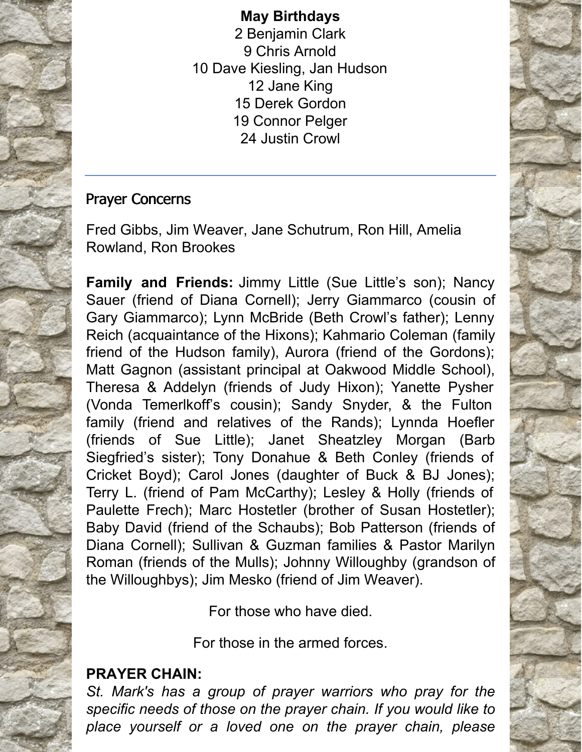### **May Birthdays**

 Benjamin Clark Chris Arnold Dave Kiesling, Jan Hudson Jane King Derek Gordon Connor Pelger Justin Crowl

## Prayer Concerns

Fred Gibbs, Jim Weaver, Jane Schutrum, Ron Hill, Amelia Rowland, Ron Brookes

**Family and Friends:** Jimmy Little (Sue Little's son); Nancy Sauer (friend of Diana Cornell); Jerry Giammarco (cousin of Gary Giammarco); Lynn McBride (Beth Crowl's father); Lenny Reich (acquaintance of the Hixons); Kahmario Coleman (family friend of the Hudson family), Aurora (friend of the Gordons); Matt Gagnon (assistant principal at Oakwood Middle School), Theresa & Addelyn (friends of Judy Hixon); Yanette Pysher (Vonda Temerlkoff's cousin); Sandy Snyder, & the Fulton family (friend and relatives of the Rands); Lynnda Hoefler (friends of Sue Little); Janet Sheatzley Morgan (Barb Siegfried's sister); Tony Donahue & Beth Conley (friends of Cricket Boyd); Carol Jones (daughter of Buck & BJ Jones); Terry L. (friend of Pam McCarthy); Lesley & Holly (friends of Paulette Frech); Marc Hostetler (brother of Susan Hostetler); Baby David (friend of the Schaubs); Bob Patterson (friends of Diana Cornell); Sullivan & Guzman families & Pastor Marilyn Roman (friends of the Mulls); Johnny Willoughby (grandson of the Willoughbys); Jim Mesko (friend of Jim Weaver).

For those who have died.

For those in the armed forces.

## **PRAYER CHAIN:**

*St. Mark's has a group of prayer warriors who pray for the specific needs of those on the prayer chain. If you would like to place yourself or a loved one on the prayer chain, please*